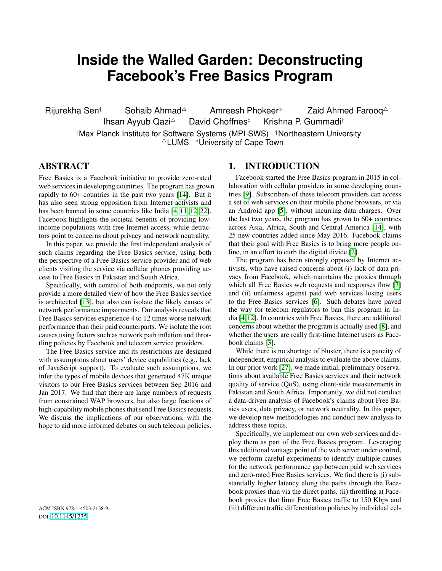# **Inside the Walled Garden: Deconstructing Facebook's Free Basics Program**

Rijurekha Sen† Sohaib Ahmad<sup> $\triangle$ </sup> Amreesh Phokeer<sup>®</sup> Zaid Ahmed Farooq $\triangle$ Ihsan Ayyub Qazi<sup>4</sup> David Choffnes‡ Krishna P. Gummadi† †Max Planck Institute for Software Systems (MPI-SWS) ‡Northeastern University  $\triangle$ LUMS  $\triangle$ University of Cape Town

## ABSTRACT

Free Basics is a Facebook initiative to provide zero-rated web services in developing countries. The program has grown rapidly to 60+ countries in the past two years [\[14\]](#page-7-0). But it has also seen strong opposition from Internet activists and has been banned in some countries like India [\[4,](#page-7-1) [11,](#page-7-2) [12,](#page-7-3) [22\]](#page-7-4). Facebook highlights the societal benefits of providing lowincome populations with free Internet access, while detractors point to concerns about privacy and network neutrality.

In this paper, we provide the first independent analysis of such claims regarding the Free Basics service, using both the perspective of a Free Basics service provider and of web clients visiting the service via cellular phones providing access to Free Basics in Pakistan and South Africa.

Specifically, with control of both endpoints, we not only provide a more detailed view of how the Free Basics service is architected [\[13\]](#page-7-5), but also can isolate the likely causes of network performance impairments. Our analysis reveals that Free Basics services experience 4 to 12 times worse network performance than their paid counterparts. We isolate the root causes using factors such as network path inflation and throttling policies by Facebook and telecom service providers.

The Free Basics service and its restrictions are designed with assumptions about users' device capabilities (e.g., lack of JavaScript support). To evaluate such assumptions, we infer the types of mobile devices that generated 47K unique visitors to our Free Basics services between Sep 2016 and Jan 2017. We find that there are large numbers of requests from constrained WAP browsers, but also large fractions of high-capability mobile phones that send Free Basics requests. We discuss the implications of our observations, with the hope to aid more informed debates on such telecom policies.

## 1. INTRODUCTION

Facebook started the Free Basics program in 2015 in collaboration with cellular providers in some developing countries [\[9\]](#page-7-6). Subscribers of these telecom providers can access a set of web services on their mobile phone browsers, or via an Android app [\[5\]](#page-7-7), without incurring data charges. Over the last two years, the program has grown to 60+ countries across Asia, Africa, South and Central America [\[14\]](#page-7-0), with 25 new countries added since May 2016. Facebook claims that their goal with Free Basics is to bring more people online, in an effort to curb the digital divide [\[2\]](#page-7-8).

The program has been strongly opposed by Internet activists, who have raised concerns about (i) lack of data privacy from Facebook, which maintains the proxies through which all Free Basics web requests and responses flow [\[7\]](#page-7-9) and (ii) unfairness against paid web services losing users to the Free Basics services [\[6\]](#page-7-10). Such debates have paved the way for telecom regulators to ban this program in India [\[4](#page-7-1)[,12\]](#page-7-3). In countries with Free Basics, there are additional concerns about whether the program is actually used [\[8\]](#page-7-11), and whether the users are really first-time Internet users as Facebook claims [\[3\]](#page-7-12).

While there is no shortage of bluster, there is a paucity of independent, empirical analysis to evaluate the above claims. In our prior work [\[27\]](#page-7-13), we made initial, preliminary observations about available Free Basics services and their network quality of service (QoS), using client-side measurements in Pakistan and South Africa. Importantly, we did not conduct a data-driven analysis of Facebook's claims about Free Basics users, data privacy, or network neutrality. In this paper, we develop new methodologies and conduct new analysis to address these topics.

Specifically, we implement our own web services and deploy them as part of the Free Basics program. Leveraging this additional vantage point of the web server under control, we perform careful experiments to identify multiple causes for the network performance gap between paid web services and zero-rated Free Basics services. We find there is (i) substantially higher latency along the paths through the Facebook proxies than via the direct paths, (ii) throttling at Facebook proxies that limit Free Basics traffic to 150 Kbps and (iii) different traffic differentiation policies by individual cel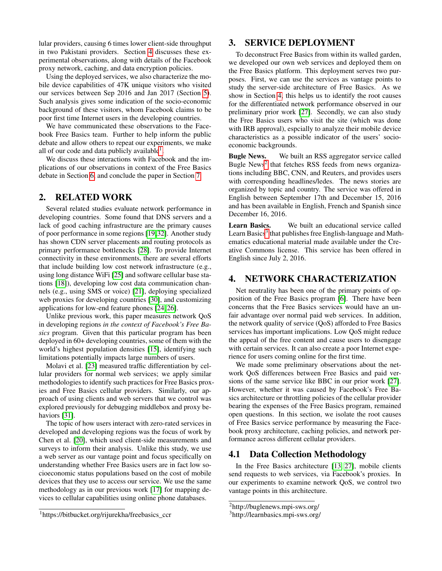lular providers, causing 6 times lower client-side throughput in two Pakistani providers. Section [4](#page-1-0) discusses these experimental observations, along with details of the Facebook proxy network, caching, and data encryption policies.

Using the deployed services, we also characterize the mobile device capabilities of 47K unique visitors who visited our services between Sep 2016 and Jan 2017 (Section [5\)](#page-4-0). Such analysis gives some indication of the socio-economic background of these visitors, whom Facebook claims to be poor first time Internet users in the developing countries.

We have communicated these observations to the Facebook Free Basics team. Further to help inform the public debate and allow others to repeat our experiments, we make all of our code and data publicly available $<sup>1</sup>$  $<sup>1</sup>$  $<sup>1</sup>$ .</sup>

We discuss these interactions with Facebook and the implications of our observations in context of the Free Basics debate in Section [6,](#page-6-0) and conclude the paper in Section [7.](#page-6-1)

#### 2. RELATED WORK

Several related studies evaluate network performance in developing countries. Some found that DNS servers and a lack of good caching infrastructure are the primary causes of poor performance in some regions [\[19,](#page-7-14)[32\]](#page-7-15). Another study has shown CDN server placements and routing protocols as primary performance bottlenecks [\[28\]](#page-7-16). To provide Internet connectivity in these environments, there are several efforts that include building low cost network infrastructure (e.g., using long distance WiFi [\[25\]](#page-7-17) and software cellular base stations [\[18\]](#page-7-18)), developing low cost data communication channels (e.g., using SMS or voice) [\[21\]](#page-7-19), deploying specialized web proxies for developing countries [\[30\]](#page-7-20), and customizing applications for low-end feature phones [\[24,](#page-7-21) [26\]](#page-7-22).

Unlike previous work, this paper measures network QoS in developing regions *in the context of Facebook's Free Basics* program. Given that this particular program has been deployed in 60+ developing countries, some of them with the world's highest population densities [\[15\]](#page-7-23), identifying such limitations potentially impacts large numbers of users.

Molavi et al. [\[23\]](#page-7-24) measured traffic differentiation by cellular providers for normal web services; we apply similar methodologies to identify such practices for Free Basics proxies and Free Basics cellular providers. Similarly, our approach of using clients and web servers that we control was explored previously for debugging middlebox and proxy behaviors [\[31\]](#page-7-25).

The topic of how users interact with zero-rated services in developed and developing regions was the focus of work by Chen et al. [\[20\]](#page-7-26), which used client-side measurements and surveys to inform their analysis. Unlike this study, we use a web server as our vantage point and focus specifically on understanding whether Free Basics users are in fact low socioeconomic status populations based on the cost of mobile devices that they use to access our service. We use the same methodology as in our previous work [\[17\]](#page-7-27) for mapping devices to cellular capabilities using online phone databases.

#### 3. SERVICE DEPLOYMENT

To deconstruct Free Basics from within its walled garden, we developed our own web services and deployed them on the Free Basics platform. This deployment serves two purposes. First, we can use the services as vantage points to study the server-side architecture of Free Basics. As we show in Section [4,](#page-1-0) this helps us to identify the root causes for the differentiated network performance observed in our preliminary prior work [\[27\]](#page-7-13). Secondly, we can also study the Free Basics users who visit the site (which was done with IRB approval), espcially to analyze their mobile device characteristics as a possible indicator of the users' socioeconomic backgrounds.

Bugle News. We built an RSS aggregator service called Bugle News<sup>[2](#page-1-2)</sup> that fetches RSS feeds from news organizations including BBC, CNN, and Reuters, and provides users with corresponding headlines/ledes. The news stories are organized by topic and country. The service was offered in English between September 17th and December 15, 2016 and has been available in English, French and Spanish since December 16, 2016.

Learn Basics. We built an educational service called Learn Basics<sup>[3](#page-1-3)</sup> that publishes free English-language and Mathematics educational material made available under the Creative Commons license. This service has been offered in English since July 2, 2016.

## <span id="page-1-0"></span>4. NETWORK CHARACTERIZATION

Net neutrality has been one of the primary points of opposition of the Free Basics program [\[6\]](#page-7-10). There have been concerns that the Free Basics services would have an unfair advantage over normal paid web services. In addition, the network quality of service (QoS) afforded to Free Basics services has important implications. Low QoS might reduce the appeal of the free content and cause users to disengage with certain services. It can also create a poor Internet experience for users coming online for the first time.

We made some preliminary observations about the network QoS differences between Free Basics and paid versions of the same service like BBC in our prior work [\[27\]](#page-7-13). However, whether it was caused by Facebook's Free Basics architecture or throttling policies of the cellular provider bearing the expenses of the Free Basics program, remained open questions. In this section, we isolate the root causes of Free Basics service performance by measuring the Facebook proxy architecture, caching policies, and network performance across different cellular providers.

#### 4.1 Data Collection Methodology

In the Free Basics architecture [\[13,](#page-7-5) [27\]](#page-7-13), mobile clients send requests to web services, via Facebook's proxies. In our experiments to examine network QoS, we control two vantage points in this architecture.

<span id="page-1-1"></span><sup>1</sup>https://bitbucket.org/rijurekha/freebasics\_ccr

<span id="page-1-2"></span><sup>2</sup>http://buglenews.mpi-sws.org/

<span id="page-1-3"></span><sup>3</sup>http://learnbasics.mpi-sws.org/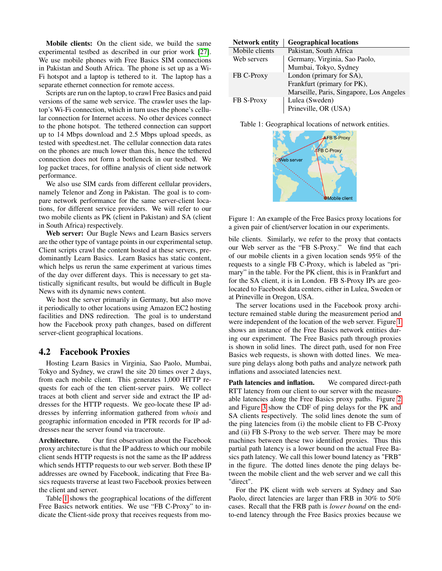Mobile clients: On the client side, we build the same experimental testbed as described in our prior work [\[27\]](#page-7-13). We use mobile phones with Free Basics SIM connections in Pakistan and South Africa. The phone is set up as a Wi-Fi hotspot and a laptop is tethered to it. The laptop has a separate ethernet connection for remote access.

Scripts are run on the laptop, to crawl Free Basics and paid versions of the same web service. The crawler uses the laptop's Wi-Fi connection, which in turn uses the phone's cellular connection for Internet access. No other devices connect to the phone hotspot. The tethered connection can support up to 14 Mbps download and 2.5 Mbps upload speeds, as tested with speedtest.net. The cellular connection data rates on the phones are much lower than this, hence the tethered connection does not form a bottleneck in our testbed. We log packet traces, for offline analysis of client side network performance.

We also use SIM cards from different cellular providers, namely Telenor and Zong in Pakistan. The goal is to compare network performance for the same server-client locations, for different service providers. We will refer to our two mobile clients as PK (client in Pakistan) and SA (client in South Africa) respectively.

Web server: Our Bugle News and Learn Basics servers are the other type of vantage points in our experimental setup. Client scripts crawl the content hosted at these servers, predominantly Learn Basics. Learn Basics has static content, which helps us rerun the same experiment at various times of the day over different days. This is necessary to get statistically significant results, but would be difficult in Bugle News with its dynamic news content.

We host the server primarily in Germany, but also move it periodically to other locations using Amazon EC2 hosting facilities and DNS redirection. The goal is to understand how the Facebook proxy path changes, based on different server-client geographical locations.

#### 4.2 Facebook Proxies

Hosting Learn Basics in Virginia, Sao Paolo, Mumbai, Tokyo and Sydney, we crawl the site 20 times over 2 days, from each mobile client. This generates 1,000 HTTP requests for each of the ten client-server pairs. We collect traces at both client and server side and extract the IP addresses for the HTTP requests. We geo-locate these IP addresses by inferring information gathered from *whois* and geographic information encoded in PTR records for IP addresses near the server found via traceroute.

Architecture. Our first observation about the Facebook proxy architecture is that the IP address to which our mobile client sends HTTP requests is not the same as the IP address which sends HTTP requests to our web server. Both these IP addresses are owned by Facebook, indicating that Free Basics requests traverse at least two Facebook proxies between the client and server.

Table [1](#page-2-0) shows the geographical locations of the different Free Basics network entities. We use "FB C-Proxy" to indicate the Client-side proxy that receives requests from mo-

<span id="page-2-0"></span>

| <b>Network entity</b> | <b>Geographical locations</b>            |
|-----------------------|------------------------------------------|
| Mobile clients        | Pakistan, South Africa                   |
| Web servers           | Germany, Virginia, Sao Paolo,            |
|                       | Mumbai, Tokyo, Sydney                    |
| FB C-Proxy            | London (primary for SA),                 |
|                       | Frankfurt (primary for PK),              |
|                       | Marseille, Paris, Singapore, Los Angeles |
| FB S-Proxy            | Lulea (Sweden)                           |
|                       | Prineville, OR (USA)                     |

<span id="page-2-1"></span>Table 1: Geographical locations of network entities.



Figure 1: An example of the Free Basics proxy locations for a given pair of client/server location in our experiments.

bile clients. Similarly, we refer to the proxy that contacts our Web server as the "FB S-Proxy." We find that each of our mobile clients in a given location sends 95% of the requests to a single FB C-Proxy, which is labeled as "primary" in the table. For the PK client, this is in Frankfurt and for the SA client, it is in London. FB S-Proxy IPs are geolocated to Facebook data centers, either in Lulea, Sweden or at Prineville in Oregon, USA.

The server locations used in the Facebook proxy architecture remained stable during the measurement period and were independent of the location of the web server. Figure [1](#page-2-1) shows an instance of the Free Basics network entities during our experiment. The Free Basics path through proxies is shown in solid lines. The direct path, used for non Free Basics web requests, is shown with dotted lines. We measure ping delays along both paths and analyze network path inflations and associated latencies next.

Path latencies and inflation. We compared direct-path RTT latency from our client to our server with the measureable latencies along the Free Basics proxy paths. Figure [2](#page-3-0) and Figure [3](#page-3-0) show the CDF of ping delays for the PK and SA clients respectively. The solid lines denote the sum of the ping latencies from (i) the mobile client to FB C-Proxy and (ii) FB S-Proxy to the web server. There may be more machines between these two identified proxies. Thus this partial path latency is a lower bound on the actual Free Basics path latency. We call this lower bound latency as "FRB" in the figure. The dotted lines denote the ping delays between the mobile client and the web server and we call this "direct".

For the PK client with web servers at Sydney and Sao Paolo, direct latencies are larger than FRB in 30% to 50% cases. Recall that the FRB path is *lower bound* on the endto-end latency through the Free Basics proxies because we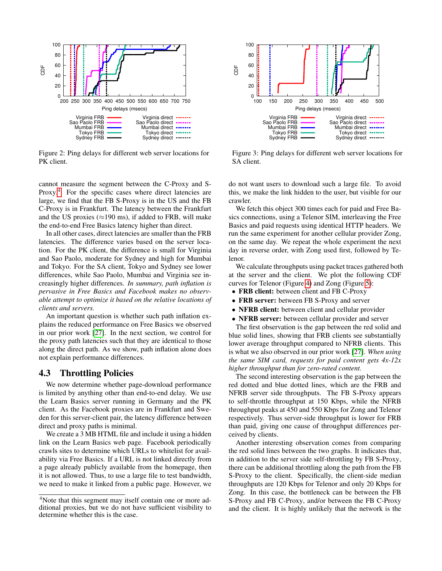<span id="page-3-0"></span>

Figure 2: Ping delays for different web server locations for PK client.

cannot measure the segment between the C-Proxy and S-Proxy.<sup>[4](#page-3-1)</sup> For the specific cases where direct latencies are large, we find that the FB S-Proxy is in the US and the FB C-Proxy is in Frankfurt. The latency between the Frankfurt and the US proxies ( $\approx$ 190 ms), if added to FRB, will make the end-to-end Free Basics latency higher than direct.

In all other cases, direct latencies are smaller than the FRB latencies. The difference varies based on the server location. For the PK client, the difference is small for Virginia and Sao Paolo, moderate for Sydney and high for Mumbai and Tokyo. For the SA client, Tokyo and Sydney see lower differences, while Sao Paolo, Mumbai and Virginia see increasingly higher differences. *In summary, path inflation is pervasive in Free Basics and Facebook makes no observable attempt to optimize it based on the relative locations of clients and servers.*

An important question is whether such path inflation explains the reduced performance on Free Basics we observed in our prior work [\[27\]](#page-7-13). In the next section, we control for the proxy path latencies such that they are identical to those along the direct path. As we show, path inflation alone does not explain performance differences.

#### 4.3 Throttling Policies

We now determine whether page-download performance is limited by anything other than end-to-end delay. We use the Learn Basics server running in Germany and the PK client. As the Facebook proxies are in Frankfurt and Sweden for this server-client pair, the latency difference between direct and proxy paths is minimal.

We create a 3 MB HTML file and include it using a hidden link on the Learn Basics web page. Facebook periodically crawls sites to determine which URLs to whitelist for availability via Free Basics. If a URL is not linked directly from a page already publicly available from the homepage, then it is not allowed. Thus, to use a large file to test bandwidth, we need to make it linked from a public page. However, we



Figure 3: Ping delays for different web server locations for SA client.

do not want users to download such a large file. To avoid this, we make the link hidden to the user, but visible for our crawler.

We fetch this object 300 times each for paid and Free Basics connections, using a Telenor SIM, interleaving the Free Basics and paid requests using identical HTTP headers. We run the same experiment for another cellular provider Zong, on the same day. We repeat the whole experiment the next day in reverse order, with Zong used first, followed by Telenor.

We calculate throughputs using packet traces gathered both at the server and the client. We plot the following CDF curves for Telenor (Figure [4\)](#page-4-1) and Zong (Figure [5\)](#page-4-1):

- FRB client: between client and FB C-Proxy
- FRB server: between FB S-Proxy and server
- NFRB client: between client and cellular provider
- **NFRB** server: between cellular provider and server

The first observation is the gap between the red solid and blue solid lines, showing that FRB clients see substantially lower average throughput compared to NFRB clients. This is what we also observed in our prior work [\[27\]](#page-7-13). *When using the same SIM card, requests for paid content gets 4x-12x higher throughput than for zero-rated content.*

The second interesting observation is the gap between the red dotted and blue dotted lines, which are the FRB and NFRB server side throughputs. The FB S-Proxy appears to self-throttle throughput at 150 Kbps, while the NFRB throughput peaks at 450 and 550 Kbps for Zong and Telenor respectively. Thus server-side throughput is lower for FRB than paid, giving one cause of throughput differences perceived by clients.

Another interesting observation comes from comparing the red solid lines between the two graphs. It indicates that, in addition to the server side self-throttling by FB S-Proxy, there can be additional throttling along the path from the FB S-Proxy to the client. Specifically, the client-side median throughputs are 120 Kbps for Telenor and only 20 Kbps for Zong. In this case, the bottleneck can be between the FB S-Proxy and FB C-Proxy, and/or between the FB C-Proxy and the client. It is highly unlikely that the network is the

<span id="page-3-1"></span><sup>&</sup>lt;sup>4</sup>Note that this segment may itself contain one or more additional proxies, but we do not have sufficient visibility to determine whether this is the case.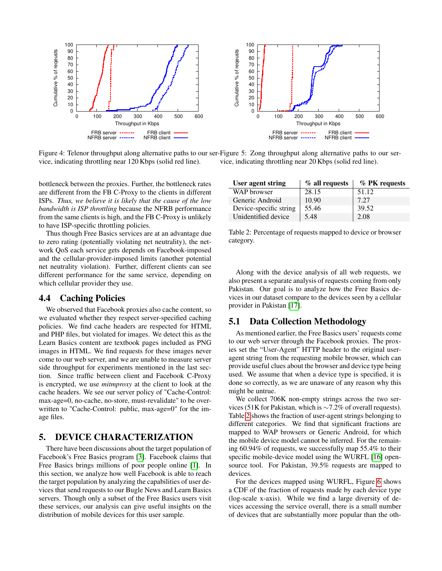<span id="page-4-1"></span>

Figure 4: Telenor throughput along alternative paths to our ser-Figure 5: Zong throughput along alternative paths to our service, indicating throttling near 120 Kbps (solid red line). vice, indicating throttling near 20 Kbps (solid red line).

bottleneck between the proxies. Further, the bottleneck rates are different from the FB C-Proxy to the clients in different ISPs. *Thus, we believe it is likely that the cause of the low bandwidth is ISP throttling* because the NFRB performance from the same clients is high, and the FB C-Proxy is unlikely to have ISP-specific throttling policies.

Thus though Free Basics services are at an advantage due to zero rating (potentially violating net neutrality), the network QoS each service gets depends on Facebook-imposed and the cellular-provider-imposed limits (another potential net neutrality violation). Further, different clients can see different performance for the same service, depending on which cellular provider they use.

#### 4.4 Caching Policies

We observed that Facebook proxies also cache content, so we evaluated whether they respect server-specified caching policies. We find cache headers are respected for HTML and PHP files, but violated for images. We detect this as the Learn Basics content are textbook pages included as PNG images in HTML. We find requests for these images never come to our web server, and we are unable to measure server side throughput for experiments mentioned in the last section. Since traffic between client and Facebook C-Proxy is encrypted, we use *mitmproxy* at the client to look at the cache headers. We see our server policy of "Cache-Control: max-age=0, no-cache, no-store, must-revalidate" to be overwritten to "Cache-Control: public, max-age=0" for the image files.

## <span id="page-4-0"></span>5. DEVICE CHARACTERIZATION

There have been discussions about the target population of Facebook's Free Basics program [\[3\]](#page-7-12). Facebook claims that Free Basics brings millions of poor people online [\[1\]](#page-7-28). In this section, we analyze how well Facebook is able to reach the target population by analyzing the capabilities of user devices that send requests to our Bugle News and Learn Basics servers. Though only a subset of the Free Basics users visit these services, our analysis can give useful insights on the distribution of mobile devices for this user sample.

<span id="page-4-2"></span>

| User agent string      | $%$ all requests | % PK requests |
|------------------------|------------------|---------------|
| WAP browser            | 28.15            | 51.12         |
| Generic Android        | 10.90            | 7.27          |
| Device-specific string | 55.46            | 39.52         |
| Unidentified device    | 5.48             | 2.08          |

Table 2: Percentage of requests mapped to device or browser category.

Along with the device analysis of all web requests, we also present a separate analysis of requests coming from only Pakistan. Our goal is to analyze how the Free Basics devices in our dataset compare to the devices seen by a cellular provider in Pakistan [\[17\]](#page-7-27).

#### 5.1 Data Collection Methodology

As mentioned earlier, the Free Basics users' requests come to our web server through the Facebook proxies. The proxies set the "User-Agent" HTTP header to the original useragent string from the requesting mobile browser, which can provide useful clues about the browser and device type being used. We assume that when a device type is specified, it is done so correctly, as we are unaware of any reason why this might be untrue.

We collect 706K non-empty strings across the two services (51K for Pakistan, which is ∼7.2% of overall requests). Table [2](#page-4-2) shows the fraction of user-agent strings belonging to different categories. We find that significant fractions are mapped to WAP browsers or Generic Android, for which the mobile device model cannot be inferred. For the remaining 60.94% of requests, we successfully map 55.4% to their specific mobile-device model using the WURFL [\[16\]](#page-7-29) opensource tool. For Pakistan, 39.5% requests are mapped to devices.

For the devices mapped using WURFL, Figure [6](#page-5-0) shows a CDF of the fraction of requests made by each device type (log-scale x-axis). While we find a large diversity of devices accessing the service overall, there is a small number of devices that are substantially more popular than the oth-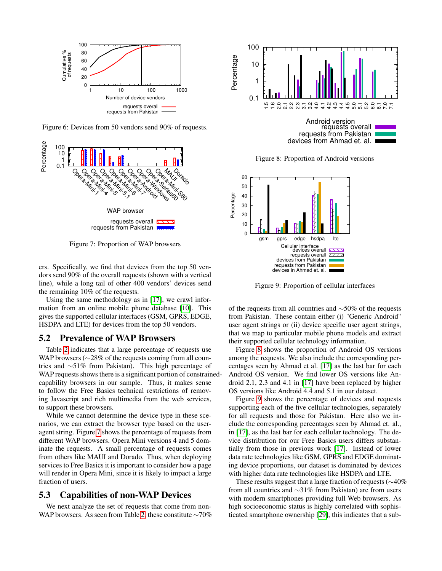<span id="page-5-0"></span>

Figure 6: Devices from 50 vendors send 90% of requests.

<span id="page-5-1"></span>

Figure 7: Proportion of WAP browsers

ers. Specifically, we find that devices from the top 50 vendors send 90% of the overall requests (shown with a vertical line), while a long tail of other 400 vendors' devices send the remaining 10% of the requests.

Using the same methodology as in [\[17\]](#page-7-27), we crawl information from an online mobile phone database [\[10\]](#page-7-30). This gives the supported cellular interfaces (GSM, GPRS, EDGE, HSDPA and LTE) for devices from the top 50 vendors.

#### 5.2 Prevalence of WAP Browsers

Table [2](#page-4-2) indicates that a large percentage of requests use WAP browsers (∼28% of the requests coming from all countries and ∼51% from Pakistan). This high percentage of WAP requests shows there is a significant portion of constrainedcapability browsers in our sample. Thus, it makes sense to follow the Free Basics technical restrictions of removing Javascript and rich multimedia from the web services, to support these browsers.

While we cannot determine the device type in these scenarios, we can extract the browser type based on the useragent string. Figure [7](#page-5-1) shows the percentage of requests from different WAP browsers. Opera Mini versions 4 and 5 dominate the requests. A small percentage of requests comes from others like MAUI and Dorado. Thus, when deploying services to Free Basics it is important to consider how a page will render in Opera Mini, since it is likely to impact a large fraction of users.

## 5.3 Capabilities of non-WAP Devices

We next analyze the set of requests that come from non-WAP browsers. As seen from Table [2,](#page-4-2) these constitute ∼70%

<span id="page-5-2"></span>

Figure 8: Proportion of Android versions

<span id="page-5-3"></span>

Figure 9: Proportion of cellular interfaces

of the requests from all countries and ∼50% of the requests from Pakistan. These contain either (i) "Generic Android" user agent strings or (ii) device specific user agent strings, that we map to particular mobile phone models and extract their supported cellular technology information.

Figure [8](#page-5-2) shows the proportion of Android OS versions among the requests. We also include the corresponding percentages seen by Ahmad et al. [\[17\]](#page-7-27) as the last bar for each Android OS version. We find lower OS versions like Android 2.1, 2.3 and 4.1 in [\[17\]](#page-7-27) have been replaced by higher OS versions like Android 4.4 and 5.1 in our dataset.

Figure [9](#page-5-3) shows the percentage of devices and requests supporting each of the five cellular technologies, separately for all requests and those for Pakistan. Here also we include the corresponding percentages seen by Ahmad et. al., in [\[17\]](#page-7-27), as the last bar for each cellular technology. The device distribution for our Free Basics users differs substantially from those in previous work [\[17\]](#page-7-27). Instead of lower data rate technologies like GSM, GPRS and EDGE dominating device proportions, our dataset is dominated by devices with higher data rate technologies like HSDPA and LTE.

These results suggest that a large fraction of requests (∼40% from all countries and ∼31% from Pakistan) are from users with modern smartphones providing full Web browsers. As high socioeconomic status is highly correlated with sophisticated smartphone ownership [\[29\]](#page-7-31), this indicates that a sub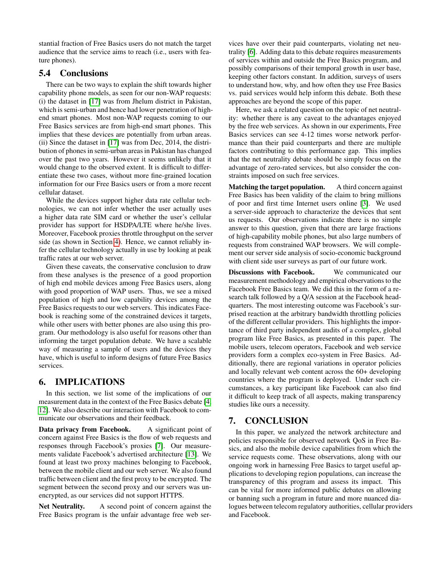stantial fraction of Free Basics users do not match the target audience that the service aims to reach (i.e., users with feature phones).

## 5.4 Conclusions

There can be two ways to explain the shift towards higher capability phone models, as seen for our non-WAP requests: (i) the dataset in [\[17\]](#page-7-27) was from Jhelum district in Pakistan, which is semi-urban and hence had lower penetration of highend smart phones. Most non-WAP requests coming to our Free Basics services are from high-end smart phones. This implies that these devices are potentially from urban areas. (ii) Since the dataset in [\[17\]](#page-7-27) was from Dec, 2014, the distribution of phones in semi-urban areas in Pakistan has changed over the past two years. However it seems unlikely that it would change to the observed extent. It is difficult to differentiate these two cases, without more fine-grained location information for our Free Basics users or from a more recent cellular dataset.

While the devices support higher data rate cellular technologies, we can not infer whether the user actually uses a higher data rate SIM card or whether the user's cellular provider has support for HSDPA/LTE where he/she lives. Moreover, Facebook proxies throttle throughput on the server side (as shown in Section [4\)](#page-1-0). Hence, we cannot reliably infer the cellular technology actually in use by looking at peak traffic rates at our web server.

Given these caveats, the conservative conclusion to draw from these analyses is the presence of a good proportion of high end mobile devices among Free Basics users, along with good proportion of WAP users. Thus, we see a mixed population of high and low capability devices among the Free Basics requests to our web servers. This indicates Facebook is reaching some of the constrained devices it targets, while other users with better phones are also using this program. Our methodology is also useful for reasons other than informing the target population debate. We have a scalable way of measuring a sample of users and the devices they have, which is useful to inform designs of future Free Basics services.

## <span id="page-6-0"></span>6. IMPLICATIONS

In this section, we list some of the implications of our measurement data in the context of the Free Basics debate [\[4,](#page-7-1) [12\]](#page-7-3). We also describe our interaction with Facebook to communicate our observations and their feedback.

Data privacy from Facebook. A significant point of concern against Free Basics is the flow of web requests and responses through Facebook's proxies [\[7\]](#page-7-9). Our measurements validate Facebook's advertised architecture [\[13\]](#page-7-5). We found at least two proxy machines belonging to Facebook, between the mobile client and our web server. We also found traffic between client and the first proxy to be encrypted. The segment between the second proxy and our servers was unencrypted, as our services did not support HTTPS.

Net Neutrality. A second point of concern against the Free Basics program is the unfair advantage free web services have over their paid counterparts, violating net neutrality [\[6\]](#page-7-10). Adding data to this debate requires measurements of services within and outside the Free Basics program, and possibly comparisons of their temporal growth in user base, keeping other factors constant. In addition, surveys of users to understand how, why, and how often they use Free Basics vs. paid services would help inform this debate. Both these approaches are beyond the scope of this paper.

Here, we ask a related question on the topic of net neutrality: whether there is any caveat to the advantages enjoyed by the free web services. As shown in our experiments, Free Basics services can see 4-12 times worse network performance than their paid counterparts and there are multiple factors contributing to this performance gap. This implies that the net neutrality debate should be simply focus on the advantage of zero-rated services, but also consider the constraints imposed on such free services.

Matching the target population. A third concern against Free Basics has been validity of the claim to bring millions of poor and first time Internet users online [\[3\]](#page-7-12). We used a server-side approach to characterize the devices that sent us requests. Our observations indicate there is no simple answer to this question, given that there are large fractions of high-capability mobile phones, but also large numbers of requests from constrained WAP browsers. We will complement our server side analysis of socio-economic background with client side user surveys as part of our future work.

Discussions with Facebook. We communicated our measurement methodology and empirical observations to the Facebook Free Basics team. We did this in the form of a research talk followed by a Q/A session at the Facebook headquarters. The most interesting outcome was Facebook's surprised reaction at the arbitrary bandwidth throttling policies of the different cellular providers. This highlights the importance of third party independent audits of a complex, global program like Free Basics, as presented in this paper. The mobile users, telecom operators, Facebook and web service providers form a complex eco-system in Free Basics. Additionally, there are regional variations in operator policies and locally relevant web content across the 60+ developing countries where the program is deployed. Under such circumstances, a key participant like Facebook can also find it difficult to keep track of all aspects, making transparency studies like ours a necessity.

## <span id="page-6-1"></span>7. CONCLUSION

In this paper, we analyzed the network architecture and policies responsible for observed network QoS in Free Basics, and also the mobile device capabilities from which the service requests come. These observations, along with our ongoing work in harnessing Free Basics to target useful applications to developing region populations, can increase the transparency of this program and assess its impact. This can be vital for more informed public debates on allowing or banning such a program in future and more nuanced dialogues between telecom regulatory authorities, cellular providers and Facebook.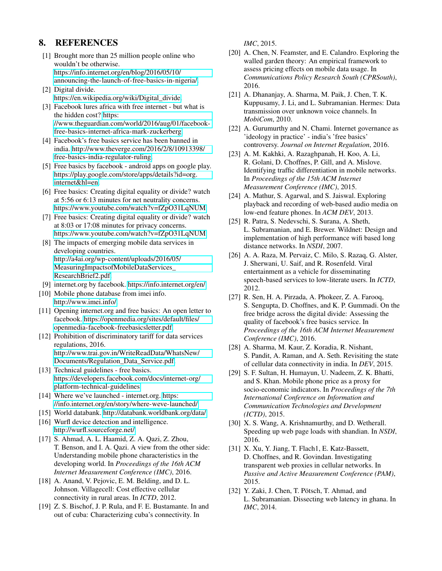## 8. REFERENCES

- <span id="page-7-28"></span>[1] Brought more than 25 million people online who wouldn't be otherwise. [https://info.internet.org/en/blog/2016/05/10/](https://info.internet.org/en/blog/2016/05/10/announcing-the-launch-of-free-basics-in-nigeria/) [announcing-the-launch-of-free-basics-in-nigeria/.](https://info.internet.org/en/blog/2016/05/10/announcing-the-launch-of-free-basics-in-nigeria/)
- <span id="page-7-8"></span>[2] Digital divide. [https://en.wikipedia.org/wiki/Digital\\_divide.](https://en.wikipedia.org/wiki/Digital_divide)
- <span id="page-7-12"></span>[3] Facebook lures africa with free internet - but what is the hidden cost? [https:](https://www.theguardian.com/world/2016/aug/01/facebook-free-basics-internet-africa-mark-zuckerberg) [//www.theguardian.com/world/2016/aug/01/facebook](https://www.theguardian.com/world/2016/aug/01/facebook-free-basics-internet-africa-mark-zuckerberg)[free-basics-internet-africa-mark-zuckerberg.](https://www.theguardian.com/world/2016/aug/01/facebook-free-basics-internet-africa-mark-zuckerberg)
- <span id="page-7-1"></span>[4] Facebook's free basics service has been banned in india. [http://www.theverge.com/2016/2/8/10913398/](http://www.theverge.com/2016/2/8/10913398/free-basics-india-regulator-ruling) [free-basics-india-regulator-ruling.](http://www.theverge.com/2016/2/8/10913398/free-basics-india-regulator-ruling)
- <span id="page-7-7"></span>[5] Free basics by facebook - android apps on google play. [https://play.google.com/store/apps/details?id=org.](https://play.google.com/store/apps/details?id=org.internet&hl=en) [internet&hl=en.](https://play.google.com/store/apps/details?id=org.internet&hl=en)
- <span id="page-7-10"></span>[6] Free basics: Creating digital equality or divide? watch at 5:56 or 6:13 minutes for net neutrality concerns. [https://www.youtube.com/watch?v=fZpO31LqNUM.](https://www.youtube.com/watch?v=fZpO31LqNUM)
- <span id="page-7-9"></span>[7] Free basics: Creating digital equality or divide? watch at 8:03 or 17:08 minutes for privacy concerns. [https://www.youtube.com/watch?v=fZpO31LqNUM.](https://www.youtube.com/watch?v=fZpO31LqNUM)
- <span id="page-7-11"></span>[8] The impacts of emerging mobile data services in developing countries. [http://a4ai.org/wp-content/uploads/2016/05/](http://a4ai.org/wp-content/uploads/2016/05/MeasuringImpactsofMobileDataServices_ResearchBrief2.pdf) [MeasuringImpactsofMobileDataServices\\_](http://a4ai.org/wp-content/uploads/2016/05/MeasuringImpactsofMobileDataServices_ResearchBrief2.pdf) [ResearchBrief2.pdf.](http://a4ai.org/wp-content/uploads/2016/05/MeasuringImpactsofMobileDataServices_ResearchBrief2.pdf)
- <span id="page-7-6"></span>[9] internet.org by facebook. [https://info.internet.org/en/.](https://info.internet.org/en/)
- <span id="page-7-30"></span>[10] Mobile phone database from imei info. [http://www.imei.info/.](http://www.imei.info/)
- <span id="page-7-2"></span>[11] Opening internet.org and free basics: An open letter to facebook. [https://openmedia.org/sites/default/files/](https://openmedia.org/sites/default/files/openmedia-facebook-freebasicsletter.pdf) [openmedia-facebook-freebasicsletter.pdf.](https://openmedia.org/sites/default/files/openmedia-facebook-freebasicsletter.pdf)
- <span id="page-7-3"></span>[12] Prohibition of discriminatory tariff for data services regulations, 2016. [http://www.trai.gov.in/WriteReadData/WhatsNew/](http://www.trai.gov.in/WriteReadData/WhatsNew/Documents/Regulation_Data_Service.pdf) [Documents/Regulation\\_Data\\_Service.pdf.](http://www.trai.gov.in/WriteReadData/WhatsNew/Documents/Regulation_Data_Service.pdf)
- <span id="page-7-5"></span>[13] Technical guidelines - free basics. [https://developers.facebook.com/docs/internet-org/](https://developers.facebook.com/docs/internet-org/platform-technical-guidelines) [platform-technical-guidelines.](https://developers.facebook.com/docs/internet-org/platform-technical-guidelines)
- <span id="page-7-0"></span>[14] Where we've launched - internet.org. [https:](https://info.internet.org/en/story/where-weve-launched/) [//info.internet.org/en/story/where-weve-launched/.](https://info.internet.org/en/story/where-weve-launched/)
- <span id="page-7-23"></span>[15] World databank. [http://databank.worldbank.org/data/.](http://databank.worldbank.org/data/)
- <span id="page-7-29"></span>[16] Wurfl device detection and intelligence. [http://wurfl.sourceforge.net/.](http://wurfl.sourceforge.net/)
- <span id="page-7-27"></span>[17] S. Ahmad, A. L. Haamid, Z. A. Qazi, Z. Zhou, T. Benson, and I. A. Qazi. A view from the other side: Understanding mobile phone characteristics in the developing world. In *Proceedings of the 16th ACM Internet Measurement Conference (IMC)*, 2016.
- <span id="page-7-18"></span>[18] A. Anand, V. Pejovic, E. M. Belding, and D. L. Johnson. Villagecell: Cost effective cellular connectivity in rural areas. In *ICTD*, 2012.
- <span id="page-7-14"></span>[19] Z. S. Bischof, J. P. Rula, and F. E. Bustamante. In and out of cuba: Characterizing cuba's connectivity. In

*IMC*, 2015.

- <span id="page-7-26"></span>[20] A. Chen, N. Feamster, and E. Calandro. Exploring the walled garden theory: An empirical framework to assess pricing effects on mobile data usage. In *Communications Policy Research South (CPRSouth)*, 2016.
- <span id="page-7-19"></span>[21] A. Dhananjay, A. Sharma, M. Paik, J. Chen, T. K. Kuppusamy, J. Li, and L. Subramanian. Hermes: Data transmission over unknown voice channels. In *MobiCom*, 2010.
- <span id="page-7-4"></span>[22] A. Gurumurthy and N. Chami. Internet governance as 'ideology in practice' - india's 'free basics' controversy. *Journal on Internet Regulation*, 2016.
- <span id="page-7-24"></span>[23] A. M. Kakhki, A. Razaghpanah, H. Koo, A. Li, R. Golani, D. Choffnes, P. Gill, and A. Mislove. Identifying traffic differentiation in mobile networks. In *Proceedings of the 15th ACM Internet Measurement Conference (IMC)*, 2015.
- <span id="page-7-21"></span>[24] A. Mathur, S. Agarwal, and S. Jaiswal. Exploring playback and recording of web-based audio media on low-end feature phones. In *ACM DEV*, 2013.
- <span id="page-7-17"></span>[25] R. Patra, S. Nedevschi, S. Surana, A. Sheth, L. Subramanian, and E. Brewer. Wildnet: Design and implementation of high performance wifi based long distance networks. In *NSDI*, 2007.
- <span id="page-7-22"></span>[26] A. A. Raza, M. Pervaiz, C. Milo, S. Razaq, G. Alster, J. Sherwani, U. Saif, and R. Rosenfeld. Viral entertainment as a vehicle for disseminating speech-based services to low-literate users. In *ICTD*, 2012.
- <span id="page-7-13"></span>[27] R. Sen, H. A. Pirzada, A. Phokeer, Z. A. Farooq, S. Sengupta, D. Choffnes, and K. P. Gummadi. On the free bridge across the digital divide: Assessing the quality of facebook's free basics service. In *Proceedings of the 16th ACM Internet Measurement Conference (IMC)*, 2016.
- <span id="page-7-16"></span>[28] A. Sharma, M. Kaur, Z. Koradia, R. Nishant, S. Pandit, A. Raman, and A. Seth. Revisiting the state of cellular data connectivity in india. In *DEV*, 2015.
- <span id="page-7-31"></span>[29] S. F. Sultan, H. Humayun, U. Nadeem, Z. K. Bhatti, and S. Khan. Mobile phone price as a proxy for socio-economic indicators. In *Proceedings of the 7th International Conference on Information and Communication Technologies and Development (ICTD)*, 2015.
- <span id="page-7-20"></span>[30] X. S. Wang, A. Krishnamurthy, and D. Wetherall. Speeding up web page loads with shandian. In *NSDI*, 2016.
- <span id="page-7-25"></span>[31] X. Xu, Y. Jiang, T. Flach1, E. Katz-Bassett, D. Choffnes, and R. Govindan. Investigating transparent web proxies in cellular networks. In *Passive and Active Measurement Conference (PAM)*, 2015.
- <span id="page-7-15"></span>[32] Y. Zaki, J. Chen, T. Pötsch, T. Ahmad, and L. Subramanian. Dissecting web latency in ghana. In *IMC*, 2014.